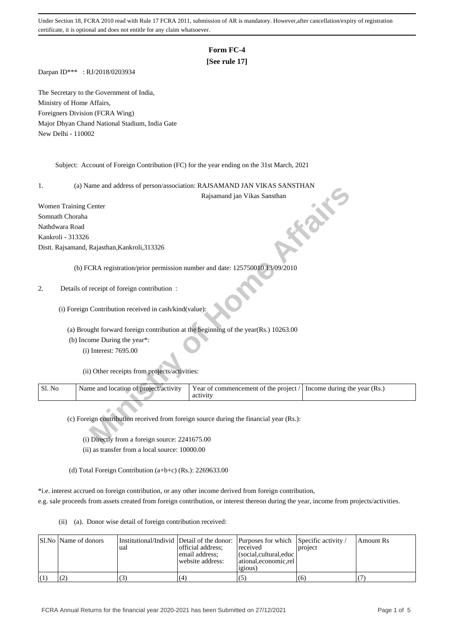## **Form FC-4**

## **[See rule 17]**

Darpan ID\*\*\* : RJ/2018/0203934

The Secretary to the Government of India, Ministry of Home Affairs, Foreigners Division (FCRA Wing) Major Dhyan Chand National Stadium, India Gate New Delhi - 110002

Subject: Account of Foreign Contribution (FC) for the year ending on the 31st March, 2021

1. (a) Name and address of person/association: RAJSAMAND JAN VIKAS SANSTHAN

- (b) Income During the year\*:
	- (i) Interest: 7695.00

|                       |                                                                                     | (a) IValue and address of person/association. Registerative terms virked Serves HTATV  |                              |
|-----------------------|-------------------------------------------------------------------------------------|----------------------------------------------------------------------------------------|------------------------------|
|                       |                                                                                     | Rajsamand jan Vikas Sansthan                                                           |                              |
| Women Training Center |                                                                                     |                                                                                        | idi                          |
| Somnath Choraha       |                                                                                     |                                                                                        |                              |
| Nathdwara Road        |                                                                                     |                                                                                        |                              |
| Kankroli - 313326     |                                                                                     |                                                                                        |                              |
|                       | Distt. Rajsamand, Rajasthan, Kankroli, 313326                                       |                                                                                        |                              |
|                       | (b) FCRA registration/prior permission number and date: 125750010 13/09/2010        |                                                                                        |                              |
| 2.                    | Details of receipt of foreign contribution:                                         |                                                                                        |                              |
|                       | (i) Foreign Contribution received in cash/kind(value):                              |                                                                                        |                              |
|                       | (a) Brought forward foreign contribution at the beginning of the year(Rs.) 10263.00 |                                                                                        |                              |
|                       | (b) Income During the year*:                                                        |                                                                                        |                              |
|                       | (i) Interest: 7695.00                                                               |                                                                                        |                              |
|                       | (ii) Other receipts from projects/activities:                                       |                                                                                        |                              |
| Sl. No                | Name and location of project/activity                                               | Year of commencement of the project /<br>activity                                      | Income during the year (Rs.) |
|                       | (i) Directly from a foreign source: 2241675.00                                      | (c) Foreign contribution received from foreign source during the financial year (Rs.): |                              |

 (i) Directly from a foreign source: 2241675.00 (ii) as transfer from a local source: 10000.00

(d) Total Foreign Contribution (a+b+c) (Rs.): 2269633.00

\*i.e. interest accrued on foreign contribution, or any other income derived from foreign contribution,

e.g. sale proceeds from assets created from foreign contribution, or interest thereon during the year, income from projects/activities.

(ii) (a). Donor wise detail of foreign contribution received:

|  | Sl.No   Name of donors | ual | Institutional/Individ Detail of the donor: Purposes for which Specific activity /<br>official address:<br>email address;<br>website address: | received<br>l (social.cultural.educ  <br>  ational.economic.rel<br>1910US | project | Amount Rs |
|--|------------------------|-----|----------------------------------------------------------------------------------------------------------------------------------------------|---------------------------------------------------------------------------|---------|-----------|
|  |                        |     | (4)                                                                                                                                          | (5)                                                                       | (6)     |           |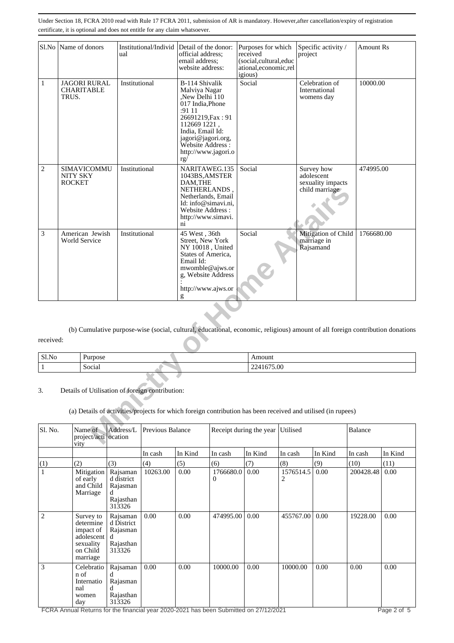|              |                           | Sl.No Name of donors                     | ual           | Institutional/Individ Detail of the donor:      | official address:<br>email address:<br>website address:                                                                                                                                                          | Purposes for which<br>received<br>(social,cultural,educ<br>ational,economic,rel<br>igious) |          | Specific activity /<br>project                                                                               | <b>Amount Rs</b>                                                                                                              |
|--------------|---------------------------|------------------------------------------|---------------|-------------------------------------------------|------------------------------------------------------------------------------------------------------------------------------------------------------------------------------------------------------------------|--------------------------------------------------------------------------------------------|----------|--------------------------------------------------------------------------------------------------------------|-------------------------------------------------------------------------------------------------------------------------------|
| 1            | TRUS.                     | <b>JAGORI RURAL</b><br><b>CHARITABLE</b> | Institutional |                                                 | B-114 Shivalik<br>Malviya Nagar<br>"New Delhi 110<br>017 India, Phone<br>:91 11<br>26691219, Fax: 91<br>112669 1221,<br>India, Email Id:<br>jagori@jagori.org,<br>Website Address:<br>http://www.jagori.o<br>rg/ | Social                                                                                     |          | Celebration of<br>International<br>womens day                                                                | 10000.00                                                                                                                      |
| 2            | NITY SKY<br><b>ROCKET</b> | SIMAVICOMMU                              | Institutional |                                                 | NARITAWEG.135<br>1043BS, AMSTER<br>DAM, THE<br>NETHERLANDS.<br>Netherlands, Email<br>Id: info@simavi.ni,<br>Website Address:<br>http://www.simavi.<br>$\overline{ni}$                                            | Social                                                                                     |          | Survey how<br>adolescent<br>sexuality impacts<br>child marriage                                              | 474995.00                                                                                                                     |
| 3            |                           | American Jewish<br><b>World Service</b>  | Institutional |                                                 | 45 West, 36th<br>Street, New York<br>NY 10018, United<br>States of America,<br>Email Id:<br>mwomble@ajws.or<br>g, Website Address<br>http://www.ajws.or<br>g                                                     | Social                                                                                     |          | Mitigation of Child<br>marriage in<br>Rajsamand                                                              | 1766680.00                                                                                                                    |
|              |                           |                                          |               |                                                 |                                                                                                                                                                                                                  |                                                                                            |          |                                                                                                              | (b) Cumulative purpose-wise (social, cultural, educational, economic, religious) amount of all foreign contribution donations |
| received:    |                           |                                          |               |                                                 |                                                                                                                                                                                                                  |                                                                                            |          |                                                                                                              |                                                                                                                               |
| Sl.No        |                           | Purpose                                  |               |                                                 |                                                                                                                                                                                                                  | Amount                                                                                     |          |                                                                                                              |                                                                                                                               |
| $\mathbf{1}$ |                           | Social                                   |               |                                                 |                                                                                                                                                                                                                  | 2241675.00                                                                                 |          |                                                                                                              |                                                                                                                               |
|              |                           |                                          |               |                                                 |                                                                                                                                                                                                                  |                                                                                            |          |                                                                                                              |                                                                                                                               |
| 3.           |                           |                                          |               | Details of Utilisation of foreign contribution: |                                                                                                                                                                                                                  |                                                                                            |          |                                                                                                              |                                                                                                                               |
|              |                           |                                          |               |                                                 |                                                                                                                                                                                                                  |                                                                                            |          | (a) Details of activities/projects for which foreign contribution has been received and utilised (in rupees) |                                                                                                                               |
| Sl. No.      | $\overline{v}$ ity        | Name of<br>project/acti ocation          | Address/L     | Previous Balance                                |                                                                                                                                                                                                                  | Receipt during the year                                                                    | Utilised |                                                                                                              | Balance                                                                                                                       |

| received: |  |
|-----------|--|
|           |  |

| Sl.No | "urpose" | moun          |
|-------|----------|---------------|
|       | Social   | 675.00<br>--- |

| Sl. No.        | Name of<br>project/acti ocation<br>vity                                                | Address/L                                                 | <b>Previous Balance</b> |         |                | Utilised<br>Receipt during the year<br><b>Balance</b> |                |         |           |         |
|----------------|----------------------------------------------------------------------------------------|-----------------------------------------------------------|-------------------------|---------|----------------|-------------------------------------------------------|----------------|---------|-----------|---------|
|                |                                                                                        |                                                           | In cash                 | In Kind | In cash        | In Kind                                               | In cash        | In Kind | In cash   | In Kind |
| (1)            | (2)                                                                                    | (3)                                                       | (4)                     | (5)     | (6)            | (7)                                                   | (8)            | (9)     | (10)      | (11)    |
| $\mathbf{1}$   | Mitigation<br>of early<br>and Child<br>Marriage                                        | Rajsaman<br>d district<br>Rajasman<br>Rajasthan<br>313326 | 10263.00                | 0.00    | 1766680.0<br>0 | 0.00                                                  | 1576514.5<br>2 | 0.00    | 200428.48 | 0.00    |
| $\overline{2}$ | Survey to<br>determine<br>impact of<br>adolescent<br>sexuality<br>on Child<br>marriage | Rajsaman<br>d District<br>Rajasman<br>Rajasthan<br>313326 | 0.00                    | 0.00    | 474995.00      | 0.00                                                  | 455767.00      | 0.00    | 19228.00  | 0.00    |
| 3              | Celebratio<br>n of<br>Internatio<br>nal<br>women<br>day                                | Rajsaman<br>Rajasman<br>Rajasthan<br>313326               | 0.00                    | 0.00    | 10000.00       | 0.00                                                  | 10000.00       | 0.00    | 0.00      | 0.00    |

FCRA Annual Returns for the financial year 2020-2021 has been Submitted on 27/12/2021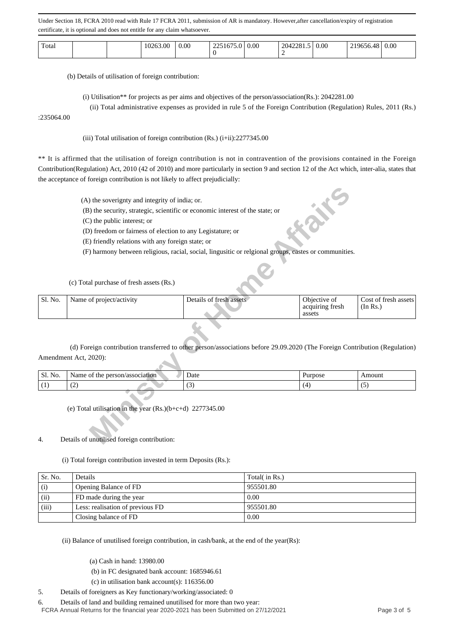| Total |  |  | 263.00<br>$\cdot$ | 0.00 | $\sim$<br>$\sim$<br>10<br>--- | 0.00 | 2281.5<br>204. | 0.00 |  | 0.00 |
|-------|--|--|-------------------|------|-------------------------------|------|----------------|------|--|------|
|-------|--|--|-------------------|------|-------------------------------|------|----------------|------|--|------|

(b) Details of utilisation of foreign contribution:

(i) Utilisation\*\* for projects as per aims and objectives of the person/association(Rs.): 2042281.00

(ii) Total administrative expenses as provided in rule 5 of the Foreign Contribution (Regulation) Rules, 2011 (Rs.)

:235064.00

(iii) Total utilisation of foreign contribution  $(Rs.)$  (i+ii):2277345.00

\*\* It is affirmed that the utilisation of foreign contribution is not in contravention of the provisions contained in the Foreign Contribution(Regulation) Act, 2010 (42 of 2010) and more particularly in section 9 and section 12 of the Act which, inter-alia, states that the acceptance of foreign contribution is not likely to affect prejudicially:

|         | (A) the soverignty and integrity of india; or.                                |                                                                                                                            | 成长                                        |                                  |
|---------|-------------------------------------------------------------------------------|----------------------------------------------------------------------------------------------------------------------------|-------------------------------------------|----------------------------------|
|         |                                                                               |                                                                                                                            |                                           |                                  |
|         | (B) the security, strategic, scientific or economic interest of the state; or |                                                                                                                            |                                           |                                  |
|         | (C) the public interest; or                                                   |                                                                                                                            |                                           |                                  |
|         | (D) freedom or fairness of election to any Legistature; or                    |                                                                                                                            |                                           |                                  |
|         | (E) friendly relations with any foreign state; or                             |                                                                                                                            |                                           |                                  |
|         |                                                                               | (F) harmony between religious, racial, social, lingusitic or relgional groups, castes or communities.                      |                                           |                                  |
|         |                                                                               |                                                                                                                            |                                           |                                  |
|         | (c) Total purchase of fresh assets (Rs.)                                      |                                                                                                                            |                                           |                                  |
| Sl. No. | Name of project/activity                                                      | Details of fresh assets                                                                                                    | Objective of<br>acquiring fresh<br>assets | Cost of fresh assets<br>(In Rs.) |
|         |                                                                               |                                                                                                                            |                                           |                                  |
|         |                                                                               | (d) Foreign contribution transferred to other person/associations before 29.09.2020 (The Foreign Contribution (Regulation) |                                           |                                  |
|         | Amendment Act, 2020):                                                         |                                                                                                                            |                                           |                                  |
| Sl. No. | Name of the person/association                                                | Date                                                                                                                       | Purpose                                   | Amount                           |
| (1)     | (2)                                                                           | (3)                                                                                                                        | (4)                                       | (5)                              |
|         |                                                                               |                                                                                                                            |                                           |                                  |
|         | (e) Total utilisation in the year $(Rs.)(b+c+d)$ 2277345.00                   |                                                                                                                            |                                           |                                  |
|         |                                                                               |                                                                                                                            |                                           |                                  |
| 4.      | Details of unutilised foreign contribution:                                   |                                                                                                                            |                                           |                                  |

| Sl. No. | $\gamma$ erson $\lambda$<br>/association<br>√ame<br>the | Date                          | urpose <sup>7</sup> | $-0.1142$<br>Amount |
|---------|---------------------------------------------------------|-------------------------------|---------------------|---------------------|
|         | $\overline{\phantom{a}}$<br>. .                         | $\overline{\phantom{a}}$<br>້ |                     | $\sim$              |

## 4. Details of unutilised foreign contribution:

(i) Total foreign contribution invested in term Deposits (Rs.):

| Sr. No. | Details                          | Total( in Rs.)     |
|---------|----------------------------------|--------------------|
| (i)     | Opening Balance of FD            | 955501.80          |
| (ii)    | FD made during the year          | 0.00               |
| (iii)   | Less: realisation of previous FD | 955501.80          |
|         | Closing balance of FD            | $\vert 0.00 \vert$ |

(ii) Balance of unutilised foreign contribution, in cash/bank, at the end of the year(Rs):

(a) Cash in hand: 13980.00

(b) in FC designated bank account: 1685946.61

(c) in utilisation bank account(s): 116356.00

5. Details of foreigners as Key functionary/working/associated: 0

6. Details of land and building remained unutilised for more than two year:

FCRA Annual Returns for the financial year 2020-2021 has been Submitted on 27/12/2021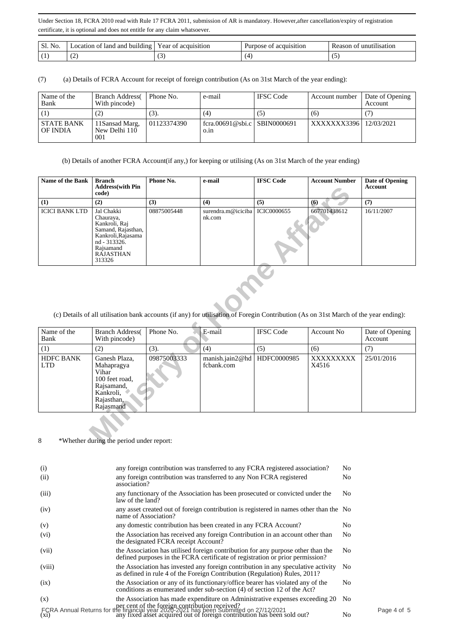| NO.<br>ЭI. | land and<br>-building<br>ocation of | Y ear<br>acquisition<br>`OI | acquisition<br>Purpose of | unutilisation<br>Reason |
|------------|-------------------------------------|-----------------------------|---------------------------|-------------------------|
|            | . .                                 | <b>1-</b>                   |                           | $\ddot{\phantom{0}}$    |

(7) (a) Details of FCRA Account for receipt of foreign contribution (As on 31st March of the year ending):

| Name of the<br>Bank           | <b>Branch Address</b><br>With pincode) | Phone No.   | e-mail                                 | <b>IFSC</b> Code | Account number          | Date of Opening<br><b>Account</b> |
|-------------------------------|----------------------------------------|-------------|----------------------------------------|------------------|-------------------------|-----------------------------------|
|                               | (2)                                    | (3).        | (4)                                    | (၁)              | (6)                     |                                   |
| <b>STATE BANK</b><br>OF INDIA | 11Sansad Marg,<br>New Delhi 110<br>001 | 01123374390 | fcra.00691@sbi.c   SBIN0000691<br>0.1n |                  | XXXXXX3396   12/03/2021 |                                   |

(b) Details of another FCRA Account(if any,) for keeping or utilising (As on 31st March of the year ending)

| <b>Name of the Bank</b> | Branch<br><b>Address</b> (with Pin<br>code)                                                                                                     | Phone No.   | e-mail                       | <b>IFSC Code</b>   | <b>Account Number</b> | Date of Opening<br>Account |
|-------------------------|-------------------------------------------------------------------------------------------------------------------------------------------------|-------------|------------------------------|--------------------|-----------------------|----------------------------|
| (1)                     | (2)                                                                                                                                             | (3)         | (4)                          | (5)                | $\boldsymbol{6}$      | (7)                        |
| <b>ICICI BANK LTD</b>   | Jal Chakki<br>Chauraya,<br>Kankroli, Raj<br>Samand, Rajasthan,<br>Kankroli, Rajasama<br>nd - 313326.<br>Rajsamand<br><b>RAJASTHAN</b><br>313326 | 08875005448 | surendra.m@iciciba<br>nk.com | <b>ICIC0000655</b> | 667701438612          | 16/11/2007                 |

(c) Details of all utilisation bank accounts (if any) for utilisation of Foregin Contribution (As on 31st March of the year ending):

|                                                                                                                                      | Address with Pin<br>code)                                                                                                                |             |                               |                  |                    | Account                    |  |
|--------------------------------------------------------------------------------------------------------------------------------------|------------------------------------------------------------------------------------------------------------------------------------------|-------------|-------------------------------|------------------|--------------------|----------------------------|--|
| (1)                                                                                                                                  | (2)                                                                                                                                      | (3)         | (4)                           | (5)              | (6)                | (7)                        |  |
| <b>ICICI BANK LTD</b>                                                                                                                | Jal Chakki<br>Chauraya,<br>Kankroli, Raj<br>Samand, Rajasthan,<br>Kankroli, Rajasama<br>nd - 313326.<br>Rajsamand<br>RÁJASTHAN<br>313326 | 08875005448 | surendra.m@iciciba<br>nk.com  | ICIC0000655      | 667701438612       | 16/11/2007                 |  |
| (c) Details of all utilisation bank accounts (if any) for utilisation of Foregin Contribution (As on 31st March of the year ending): |                                                                                                                                          |             |                               |                  |                    |                            |  |
| Name of the<br>Bank                                                                                                                  | <b>Branch Address</b><br>With pincode)                                                                                                   | Phone No.   | E-mail                        | <b>IFSC</b> Code | Account No         | Date of Opening<br>Account |  |
| (1)                                                                                                                                  | (2)                                                                                                                                      | (3).        | (4)                           | (5)              | (6)                | (7)                        |  |
| <b>HDFC BANK</b><br><b>LTD</b>                                                                                                       | Ganesh Plaza,<br>Mahapragya<br>Vihar<br>100 feet road,<br>Rajsamand,<br>Kankroli,<br>Rajasthan,<br>Rajasmand                             | 09875003333 | manish.jain2@hd<br>fcbank.com | HDFC0000985      | XXXXXXXXX<br>X4516 | 25/01/2016                 |  |
| 8                                                                                                                                    | *Whether during the period under report:                                                                                                 |             |                               |                  |                    |                            |  |

| (i)    | any foreign contribution was transferred to any FCRA registered association?                                                                                                                                            | N <sub>0</sub> |           |
|--------|-------------------------------------------------------------------------------------------------------------------------------------------------------------------------------------------------------------------------|----------------|-----------|
| (ii)   | any foreign contribution was transferred to any Non FCRA registered<br>association?                                                                                                                                     | N <sub>0</sub> |           |
| (iii)  | any functionary of the Association has been prosecuted or convicted under the<br>law of the land?                                                                                                                       | No.            |           |
| (iv)   | any asset created out of foreign contribution is registered in names other than the No<br>name of Association?                                                                                                          |                |           |
| (v)    | any domestic contribution has been created in any FCRA Account?                                                                                                                                                         | No.            |           |
| (vi)   | the Association has received any foreign Contribution in an account other than<br>the designated FCRA receipt Account?                                                                                                  | No.            |           |
| (vii)  | the Association has utilised foreign contribution for any purpose other than the<br>defined purposes in the FCRA certificate of registration or prior permission?                                                       | N <sub>0</sub> |           |
| (viii) | the Association has invested any foreign contribution in any speculative activity<br>as defined in rule 4 of the Foreign Contribution (Regulation) Rules, 2011?                                                         | No.            |           |
| (ix)   | the Association or any of its functionary/office bearer has violated any of the<br>conditions as enumerated under sub-section (4) of section 12 of the Act?                                                             | N <sub>0</sub> |           |
| (x)    | the Association has made expenditure on Administrative expenses exceeding 20                                                                                                                                            | No.            |           |
|        | per cent of the foreign contribution received?<br>FCRA Annual Returns for the financial year 2020-2021 has been Submitted on 27/12/2021<br>(xi) any fixed asset acquired out of foreign contribution has been sold out? | No             | Page 4 of |